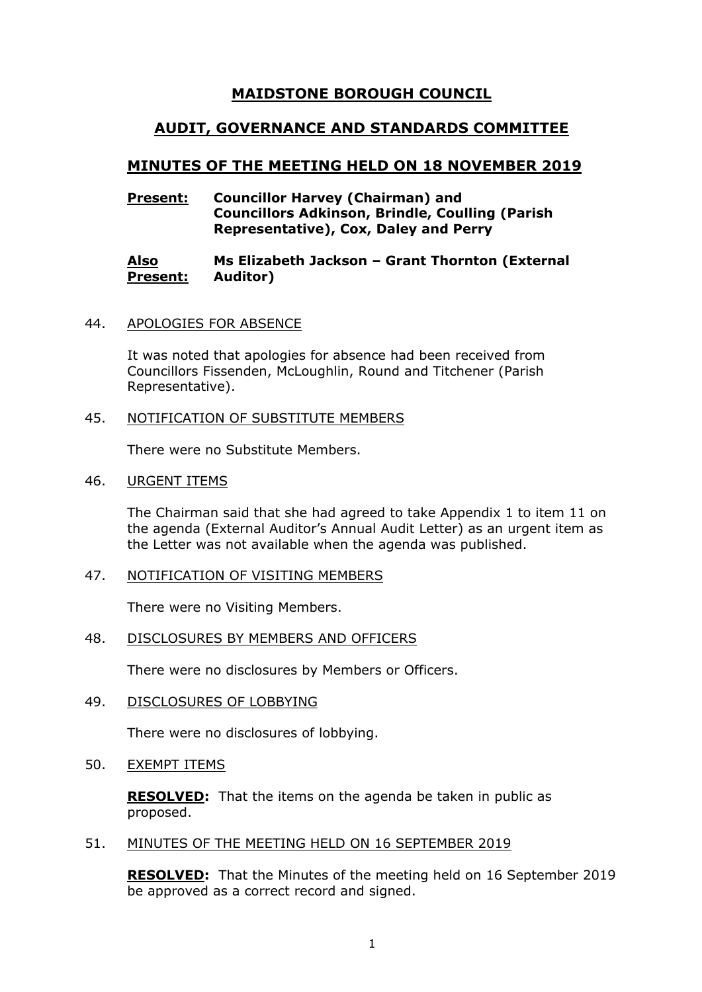# **MAIDSTONE BOROUGH COUNCIL**

# **AUDIT, GOVERNANCE AND STANDARDS COMMITTEE**

# **MINUTES OF THE MEETING HELD ON 18 NOVEMBER 2019**

## **Present: Councillor Harvey (Chairman) and Councillors Adkinson, Brindle, Coulling (Parish Representative), Cox, Daley and Perry**

#### **Also Present: Ms Elizabeth Jackson – Grant Thornton (External Auditor)**

44. APOLOGIES FOR ABSENCE

It was noted that apologies for absence had been received from Councillors Fissenden, McLoughlin, Round and Titchener (Parish Representative).

#### 45. NOTIFICATION OF SUBSTITUTE MEMBERS

There were no Substitute Members.

46. URGENT ITEMS

The Chairman said that she had agreed to take Appendix 1 to item 11 on the agenda (External Auditor's Annual Audit Letter) as an urgent item as the Letter was not available when the agenda was published.

47. NOTIFICATION OF VISITING MEMBERS

There were no Visiting Members.

## 48. DISCLOSURES BY MEMBERS AND OFFICERS

There were no disclosures by Members or Officers.

49. DISCLOSURES OF LOBBYING

There were no disclosures of lobbying.

50. EXEMPT ITEMS

**RESOLVED:** That the items on the agenda be taken in public as proposed.

## 51. MINUTES OF THE MEETING HELD ON 16 SEPTEMBER 2019

**RESOLVED:** That the Minutes of the meeting held on 16 September 2019 be approved as a correct record and signed.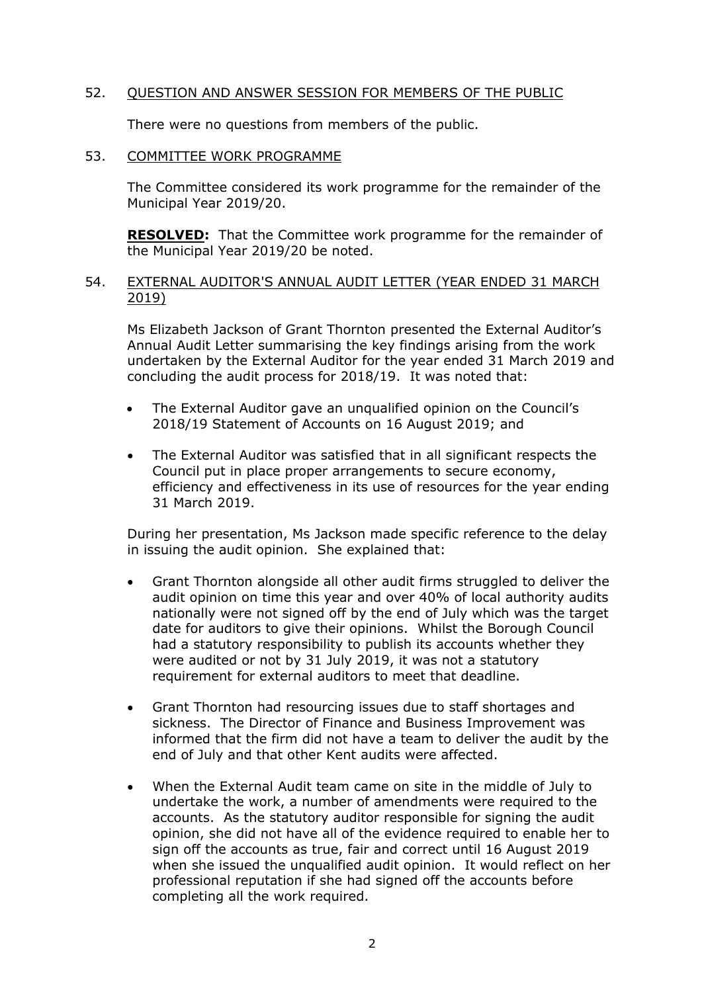## 52. QUESTION AND ANSWER SESSION FOR MEMBERS OF THE PUBLIC

There were no questions from members of the public.

#### 53. COMMITTEE WORK PROGRAMME

The Committee considered its work programme for the remainder of the Municipal Year 2019/20.

**RESOLVED:** That the Committee work programme for the remainder of the Municipal Year 2019/20 be noted.

## 54. EXTERNAL AUDITOR'S ANNUAL AUDIT LETTER (YEAR ENDED 31 MARCH 2019)

Ms Elizabeth Jackson of Grant Thornton presented the External Auditor's Annual Audit Letter summarising the key findings arising from the work undertaken by the External Auditor for the year ended 31 March 2019 and concluding the audit process for 2018/19. It was noted that:

- The External Auditor gave an unqualified opinion on the Council's 2018/19 Statement of Accounts on 16 August 2019; and
- The External Auditor was satisfied that in all significant respects the Council put in place proper arrangements to secure economy, efficiency and effectiveness in its use of resources for the year ending 31 March 2019.

During her presentation, Ms Jackson made specific reference to the delay in issuing the audit opinion. She explained that:

- Grant Thornton alongside all other audit firms struggled to deliver the audit opinion on time this year and over 40% of local authority audits nationally were not signed off by the end of July which was the target date for auditors to give their opinions. Whilst the Borough Council had a statutory responsibility to publish its accounts whether they were audited or not by 31 July 2019, it was not a statutory requirement for external auditors to meet that deadline.
- Grant Thornton had resourcing issues due to staff shortages and sickness. The Director of Finance and Business Improvement was informed that the firm did not have a team to deliver the audit by the end of July and that other Kent audits were affected.
- When the External Audit team came on site in the middle of July to undertake the work, a number of amendments were required to the accounts. As the statutory auditor responsible for signing the audit opinion, she did not have all of the evidence required to enable her to sign off the accounts as true, fair and correct until 16 August 2019 when she issued the unqualified audit opinion. It would reflect on her professional reputation if she had signed off the accounts before completing all the work required.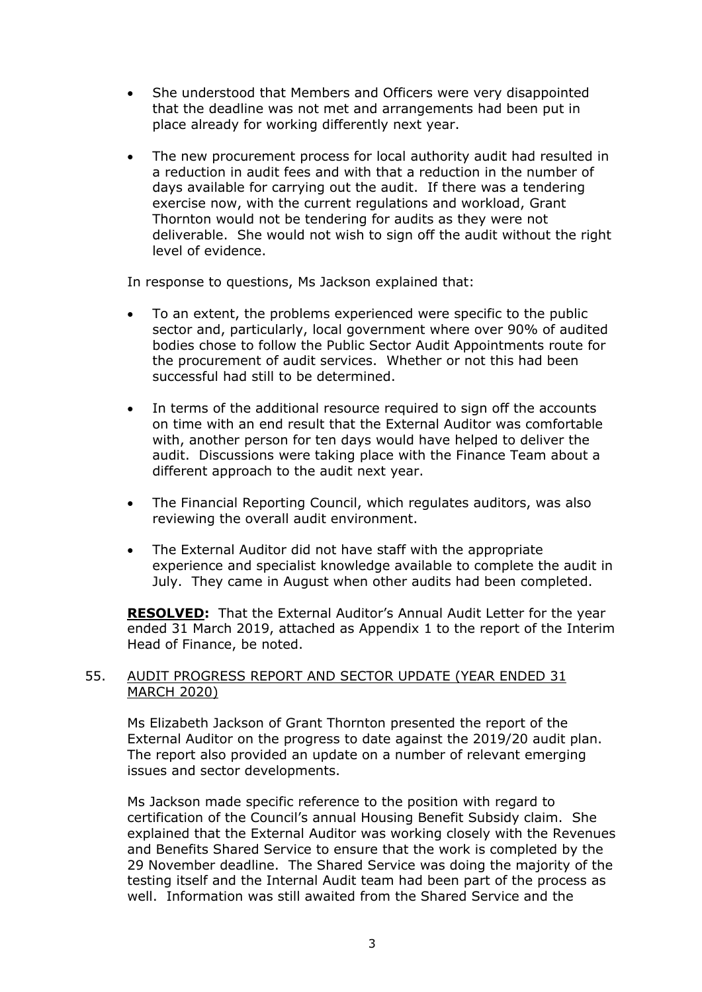- She understood that Members and Officers were very disappointed that the deadline was not met and arrangements had been put in place already for working differently next year.
- The new procurement process for local authority audit had resulted in a reduction in audit fees and with that a reduction in the number of days available for carrying out the audit. If there was a tendering exercise now, with the current regulations and workload, Grant Thornton would not be tendering for audits as they were not deliverable. She would not wish to sign off the audit without the right level of evidence.

In response to questions, Ms Jackson explained that:

- To an extent, the problems experienced were specific to the public sector and, particularly, local government where over 90% of audited bodies chose to follow the Public Sector Audit Appointments route for the procurement of audit services. Whether or not this had been successful had still to be determined.
- In terms of the additional resource required to sign off the accounts on time with an end result that the External Auditor was comfortable with, another person for ten days would have helped to deliver the audit. Discussions were taking place with the Finance Team about a different approach to the audit next year.
- The Financial Reporting Council, which regulates auditors, was also reviewing the overall audit environment.
- The External Auditor did not have staff with the appropriate experience and specialist knowledge available to complete the audit in July. They came in August when other audits had been completed.

**RESOLVED:** That the External Auditor's Annual Audit Letter for the year ended 31 March 2019, attached as Appendix 1 to the report of the Interim Head of Finance, be noted.

## 55. AUDIT PROGRESS REPORT AND SECTOR UPDATE (YEAR ENDED 31 MARCH 2020)

Ms Elizabeth Jackson of Grant Thornton presented the report of the External Auditor on the progress to date against the 2019/20 audit plan. The report also provided an update on a number of relevant emerging issues and sector developments.

Ms Jackson made specific reference to the position with regard to certification of the Council's annual Housing Benefit Subsidy claim. She explained that the External Auditor was working closely with the Revenues and Benefits Shared Service to ensure that the work is completed by the 29 November deadline. The Shared Service was doing the majority of the testing itself and the Internal Audit team had been part of the process as well. Information was still awaited from the Shared Service and the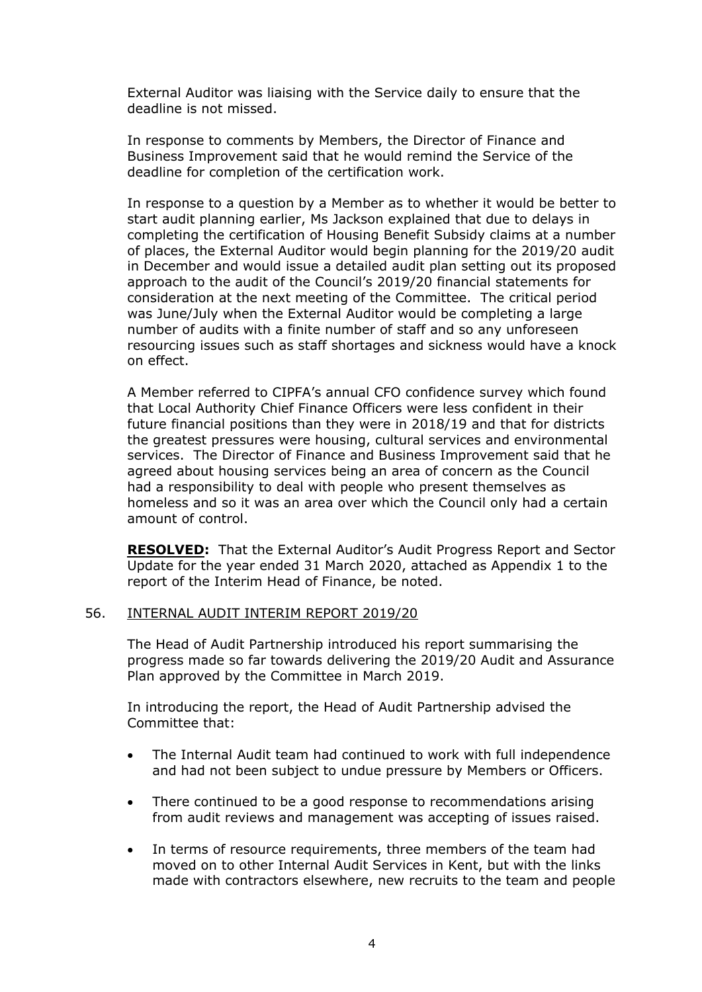External Auditor was liaising with the Service daily to ensure that the deadline is not missed.

In response to comments by Members, the Director of Finance and Business Improvement said that he would remind the Service of the deadline for completion of the certification work.

In response to a question by a Member as to whether it would be better to start audit planning earlier, Ms Jackson explained that due to delays in completing the certification of Housing Benefit Subsidy claims at a number of places, the External Auditor would begin planning for the 2019/20 audit in December and would issue a detailed audit plan setting out its proposed approach to the audit of the Council's 2019/20 financial statements for consideration at the next meeting of the Committee. The critical period was June/July when the External Auditor would be completing a large number of audits with a finite number of staff and so any unforeseen resourcing issues such as staff shortages and sickness would have a knock on effect.

A Member referred to CIPFA's annual CFO confidence survey which found that Local Authority Chief Finance Officers were less confident in their future financial positions than they were in 2018/19 and that for districts the greatest pressures were housing, cultural services and environmental services. The Director of Finance and Business Improvement said that he agreed about housing services being an area of concern as the Council had a responsibility to deal with people who present themselves as homeless and so it was an area over which the Council only had a certain amount of control.

**RESOLVED:** That the External Auditor's Audit Progress Report and Sector Update for the year ended 31 March 2020, attached as Appendix 1 to the report of the Interim Head of Finance, be noted.

## 56. INTERNAL AUDIT INTERIM REPORT 2019/20

The Head of Audit Partnership introduced his report summarising the progress made so far towards delivering the 2019/20 Audit and Assurance Plan approved by the Committee in March 2019.

In introducing the report, the Head of Audit Partnership advised the Committee that:

- The Internal Audit team had continued to work with full independence and had not been subject to undue pressure by Members or Officers.
- There continued to be a good response to recommendations arising from audit reviews and management was accepting of issues raised.
- In terms of resource requirements, three members of the team had moved on to other Internal Audit Services in Kent, but with the links made with contractors elsewhere, new recruits to the team and people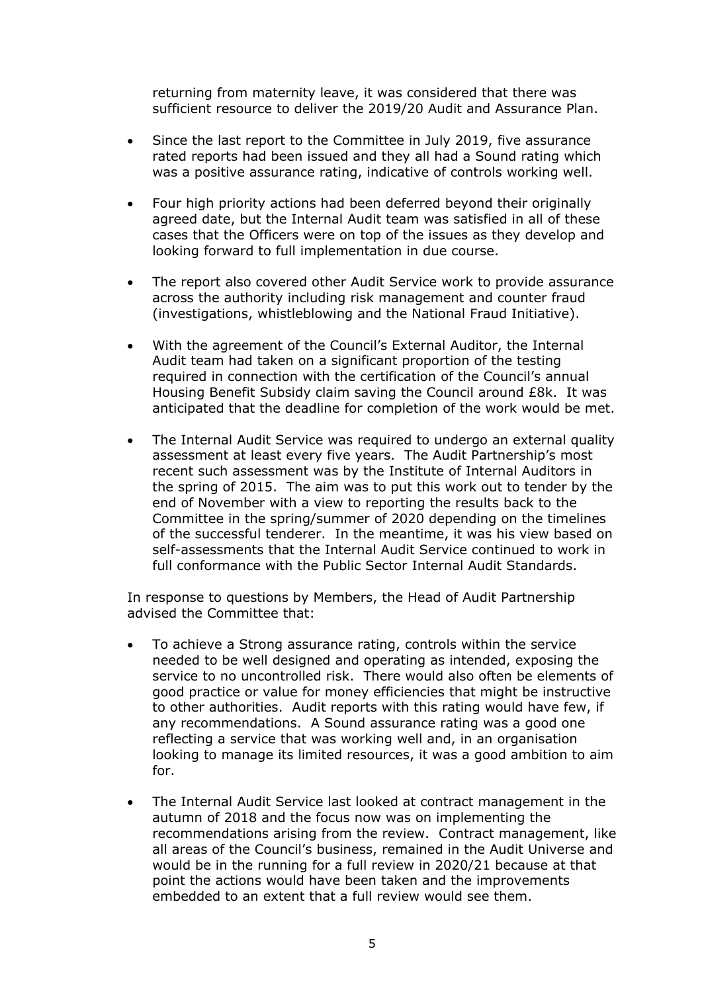returning from maternity leave, it was considered that there was sufficient resource to deliver the 2019/20 Audit and Assurance Plan.

- Since the last report to the Committee in July 2019, five assurance rated reports had been issued and they all had a Sound rating which was a positive assurance rating, indicative of controls working well.
- Four high priority actions had been deferred beyond their originally agreed date, but the Internal Audit team was satisfied in all of these cases that the Officers were on top of the issues as they develop and looking forward to full implementation in due course.
- The report also covered other Audit Service work to provide assurance across the authority including risk management and counter fraud (investigations, whistleblowing and the National Fraud Initiative).
- With the agreement of the Council's External Auditor, the Internal Audit team had taken on a significant proportion of the testing required in connection with the certification of the Council's annual Housing Benefit Subsidy claim saving the Council around £8k. It was anticipated that the deadline for completion of the work would be met.
- The Internal Audit Service was required to undergo an external quality assessment at least every five years. The Audit Partnership's most recent such assessment was by the Institute of Internal Auditors in the spring of 2015. The aim was to put this work out to tender by the end of November with a view to reporting the results back to the Committee in the spring/summer of 2020 depending on the timelines of the successful tenderer. In the meantime, it was his view based on self-assessments that the Internal Audit Service continued to work in full conformance with the Public Sector Internal Audit Standards.

In response to questions by Members, the Head of Audit Partnership advised the Committee that:

- To achieve a Strong assurance rating, controls within the service needed to be well designed and operating as intended, exposing the service to no uncontrolled risk. There would also often be elements of good practice or value for money efficiencies that might be instructive to other authorities. Audit reports with this rating would have few, if any recommendations. A Sound assurance rating was a good one reflecting a service that was working well and, in an organisation looking to manage its limited resources, it was a good ambition to aim for.
- The Internal Audit Service last looked at contract management in the autumn of 2018 and the focus now was on implementing the recommendations arising from the review. Contract management, like all areas of the Council's business, remained in the Audit Universe and would be in the running for a full review in 2020/21 because at that point the actions would have been taken and the improvements embedded to an extent that a full review would see them.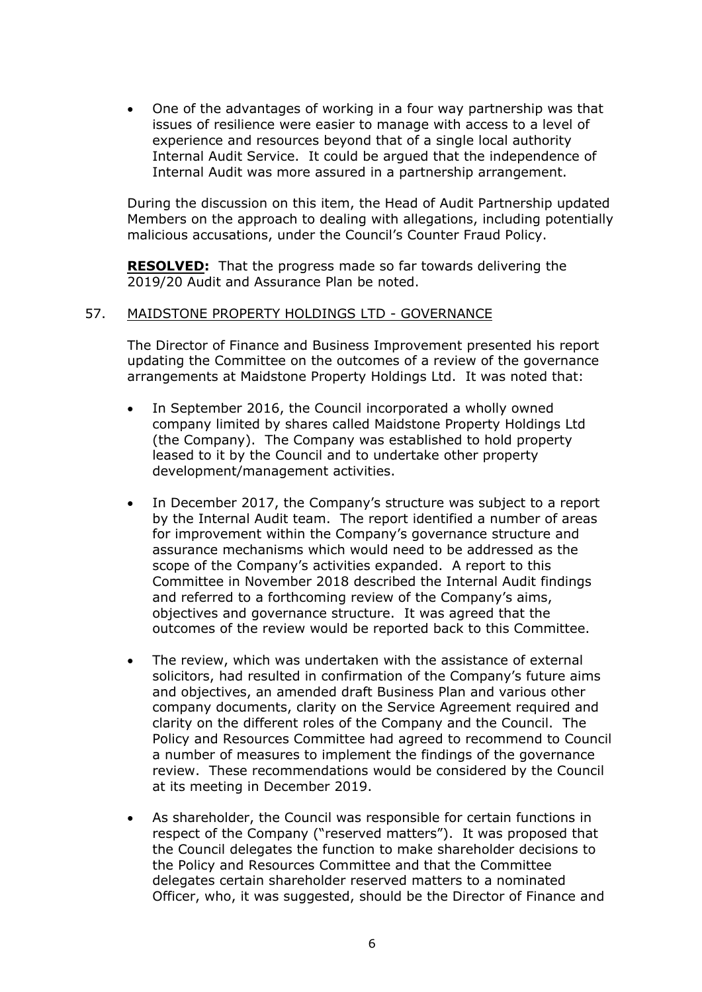One of the advantages of working in a four way partnership was that issues of resilience were easier to manage with access to a level of experience and resources beyond that of a single local authority Internal Audit Service. It could be argued that the independence of Internal Audit was more assured in a partnership arrangement.

During the discussion on this item, the Head of Audit Partnership updated Members on the approach to dealing with allegations, including potentially malicious accusations, under the Council's Counter Fraud Policy.

**RESOLVED:** That the progress made so far towards delivering the 2019/20 Audit and Assurance Plan be noted.

#### 57. MAIDSTONE PROPERTY HOLDINGS LTD - GOVERNANCE

The Director of Finance and Business Improvement presented his report updating the Committee on the outcomes of a review of the governance arrangements at Maidstone Property Holdings Ltd. It was noted that:

- In September 2016, the Council incorporated a wholly owned company limited by shares called Maidstone Property Holdings Ltd (the Company). The Company was established to hold property leased to it by the Council and to undertake other property development/management activities.
- In December 2017, the Company's structure was subject to a report by the Internal Audit team. The report identified a number of areas for improvement within the Company's governance structure and assurance mechanisms which would need to be addressed as the scope of the Company's activities expanded. A report to this Committee in November 2018 described the Internal Audit findings and referred to a forthcoming review of the Company's aims, objectives and governance structure. It was agreed that the outcomes of the review would be reported back to this Committee.
- The review, which was undertaken with the assistance of external solicitors, had resulted in confirmation of the Company's future aims and objectives, an amended draft Business Plan and various other company documents, clarity on the Service Agreement required and clarity on the different roles of the Company and the Council. The Policy and Resources Committee had agreed to recommend to Council a number of measures to implement the findings of the governance review. These recommendations would be considered by the Council at its meeting in December 2019.
- As shareholder, the Council was responsible for certain functions in respect of the Company ("reserved matters"). It was proposed that the Council delegates the function to make shareholder decisions to the Policy and Resources Committee and that the Committee delegates certain shareholder reserved matters to a nominated Officer, who, it was suggested, should be the Director of Finance and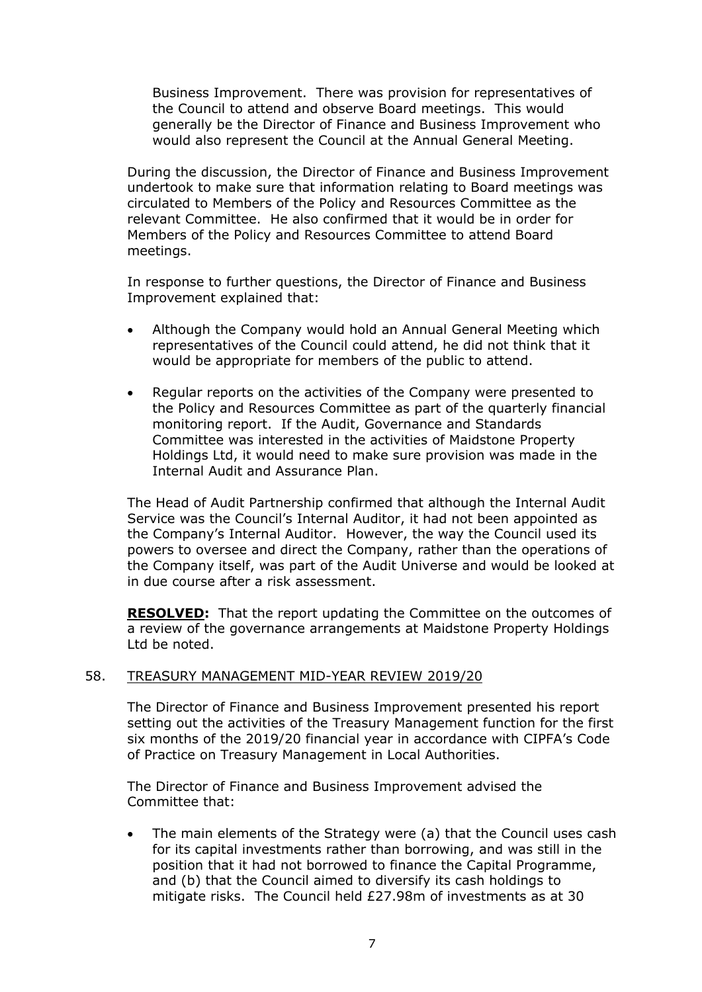Business Improvement. There was provision for representatives of the Council to attend and observe Board meetings. This would generally be the Director of Finance and Business Improvement who would also represent the Council at the Annual General Meeting.

During the discussion, the Director of Finance and Business Improvement undertook to make sure that information relating to Board meetings was circulated to Members of the Policy and Resources Committee as the relevant Committee. He also confirmed that it would be in order for Members of the Policy and Resources Committee to attend Board meetings.

In response to further questions, the Director of Finance and Business Improvement explained that:

- Although the Company would hold an Annual General Meeting which representatives of the Council could attend, he did not think that it would be appropriate for members of the public to attend.
- Regular reports on the activities of the Company were presented to the Policy and Resources Committee as part of the quarterly financial monitoring report. If the Audit, Governance and Standards Committee was interested in the activities of Maidstone Property Holdings Ltd, it would need to make sure provision was made in the Internal Audit and Assurance Plan.

The Head of Audit Partnership confirmed that although the Internal Audit Service was the Council's Internal Auditor, it had not been appointed as the Company's Internal Auditor. However, the way the Council used its powers to oversee and direct the Company, rather than the operations of the Company itself, was part of the Audit Universe and would be looked at in due course after a risk assessment.

**RESOLVED:** That the report updating the Committee on the outcomes of a review of the governance arrangements at Maidstone Property Holdings Ltd be noted.

## 58. TREASURY MANAGEMENT MID-YEAR REVIEW 2019/20

The Director of Finance and Business Improvement presented his report setting out the activities of the Treasury Management function for the first six months of the 2019/20 financial year in accordance with CIPFA's Code of Practice on Treasury Management in Local Authorities.

The Director of Finance and Business Improvement advised the Committee that:

 The main elements of the Strategy were (a) that the Council uses cash for its capital investments rather than borrowing, and was still in the position that it had not borrowed to finance the Capital Programme, and (b) that the Council aimed to diversify its cash holdings to mitigate risks. The Council held £27.98m of investments as at 30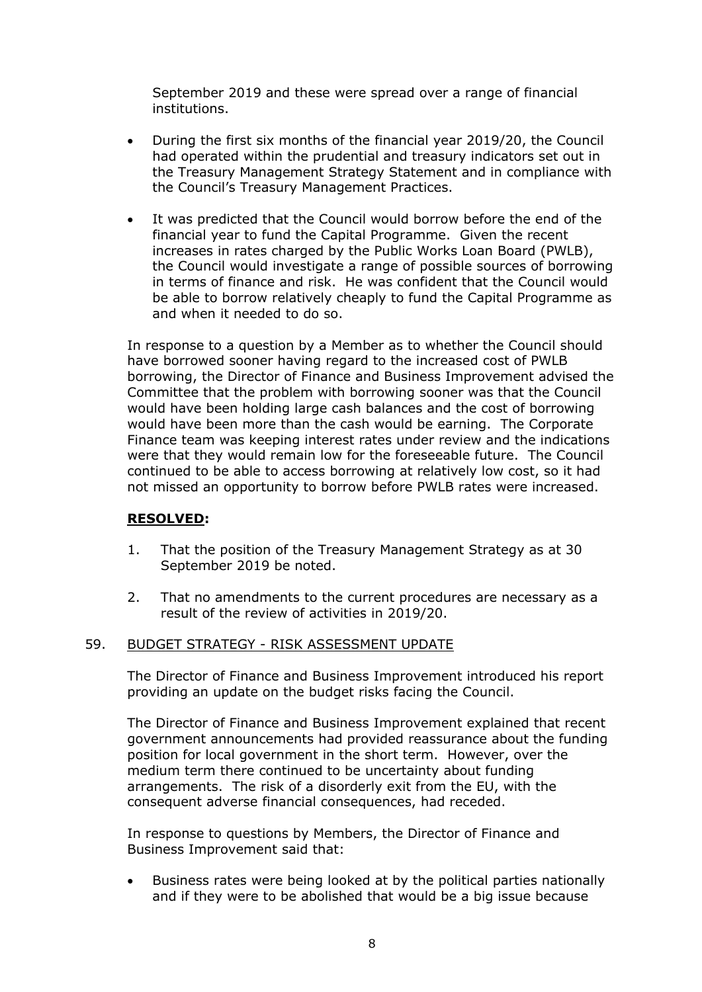September 2019 and these were spread over a range of financial institutions.

- During the first six months of the financial year 2019/20, the Council had operated within the prudential and treasury indicators set out in the Treasury Management Strategy Statement and in compliance with the Council's Treasury Management Practices.
- It was predicted that the Council would borrow before the end of the financial year to fund the Capital Programme. Given the recent increases in rates charged by the Public Works Loan Board (PWLB), the Council would investigate a range of possible sources of borrowing in terms of finance and risk. He was confident that the Council would be able to borrow relatively cheaply to fund the Capital Programme as and when it needed to do so.

In response to a question by a Member as to whether the Council should have borrowed sooner having regard to the increased cost of PWLB borrowing, the Director of Finance and Business Improvement advised the Committee that the problem with borrowing sooner was that the Council would have been holding large cash balances and the cost of borrowing would have been more than the cash would be earning. The Corporate Finance team was keeping interest rates under review and the indications were that they would remain low for the foreseeable future. The Council continued to be able to access borrowing at relatively low cost, so it had not missed an opportunity to borrow before PWLB rates were increased.

## **RESOLVED:**

- 1. That the position of the Treasury Management Strategy as at 30 September 2019 be noted.
- 2. That no amendments to the current procedures are necessary as a result of the review of activities in 2019/20.

## 59. BUDGET STRATEGY - RISK ASSESSMENT UPDATE

The Director of Finance and Business Improvement introduced his report providing an update on the budget risks facing the Council.

The Director of Finance and Business Improvement explained that recent government announcements had provided reassurance about the funding position for local government in the short term. However, over the medium term there continued to be uncertainty about funding arrangements. The risk of a disorderly exit from the EU, with the consequent adverse financial consequences, had receded.

In response to questions by Members, the Director of Finance and Business Improvement said that:

 Business rates were being looked at by the political parties nationally and if they were to be abolished that would be a big issue because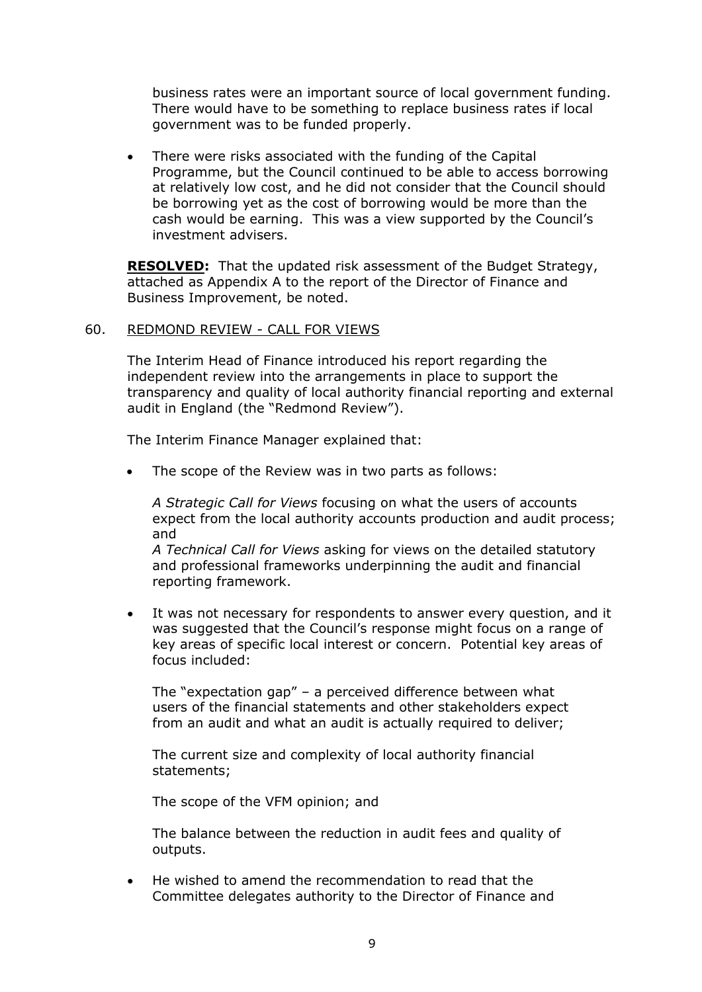business rates were an important source of local government funding. There would have to be something to replace business rates if local government was to be funded properly.

 There were risks associated with the funding of the Capital Programme, but the Council continued to be able to access borrowing at relatively low cost, and he did not consider that the Council should be borrowing yet as the cost of borrowing would be more than the cash would be earning. This was a view supported by the Council's investment advisers.

**RESOLVED:** That the updated risk assessment of the Budget Strategy, attached as Appendix A to the report of the Director of Finance and Business Improvement, be noted.

## 60. REDMOND REVIEW - CALL FOR VIEWS

The Interim Head of Finance introduced his report regarding the independent review into the arrangements in place to support the transparency and quality of local authority financial reporting and external audit in England (the "Redmond Review").

The Interim Finance Manager explained that:

The scope of the Review was in two parts as follows:

*A Strategic Call for Views* focusing on what the users of accounts expect from the local authority accounts production and audit process; and

*A Technical Call for Views* asking for views on the detailed statutory and professional frameworks underpinning the audit and financial reporting framework.

 It was not necessary for respondents to answer every question, and it was suggested that the Council's response might focus on a range of key areas of specific local interest or concern. Potential key areas of focus included:

The "expectation gap" – a perceived difference between what users of the financial statements and other stakeholders expect from an audit and what an audit is actually required to deliver;

The current size and complexity of local authority financial statements;

The scope of the VFM opinion; and

The balance between the reduction in audit fees and quality of outputs.

 He wished to amend the recommendation to read that the Committee delegates authority to the Director of Finance and